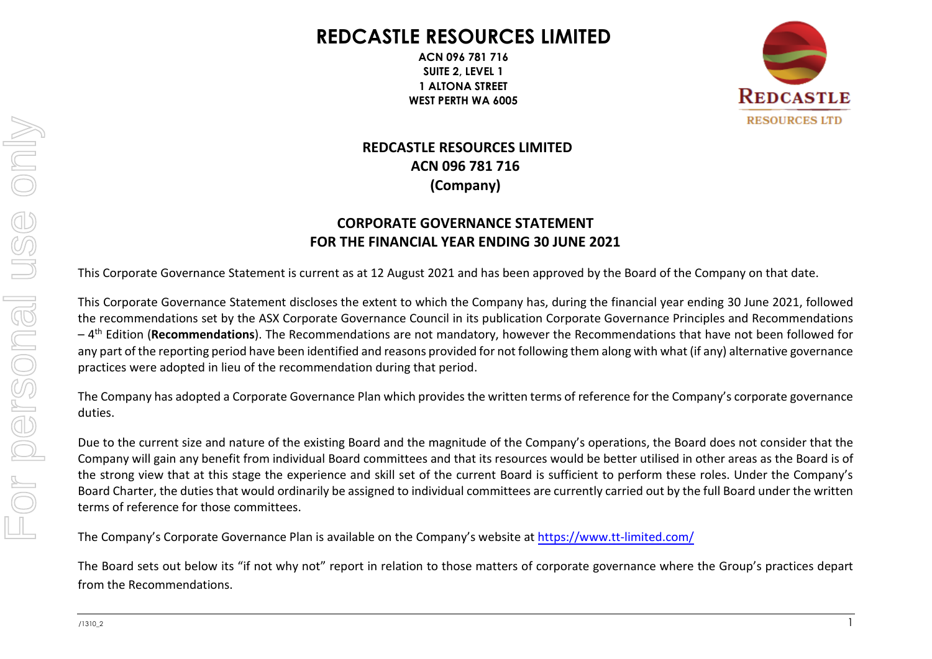# **REDCASTLE RESOURCES LIMITED**

**ACN 096 781 716 SUITE 2, LEVEL 1 1 ALTONA STREET WEST PERTH WA 6005**



# **REDCASTLE RESOURCES LIMITED ACN 096 781 716 (Company)**

# **CORPORATE GOVERNANCE STATEMENT FOR THE FINANCIAL YEAR ENDING 30 JUNE 2021**

This Corporate Governance Statement is current as at 12 August 2021 and has been approved by the Board of the Company on that date.

This Corporate Governance Statement discloses the extent to which the Company has, during the financial year ending 30 June 2021, followed the recommendations set by the ASX Corporate Governance Council in its publication Corporate Governance Principles and Recommendations – 4 th Edition (**Recommendations**). The Recommendations are not mandatory, however the Recommendations that have not been followed for any part of the reporting period have been identified and reasons provided for not following them along with what (if any) alternative governance practices were adopted in lieu of the recommendation during that period.

The Company has adopted a Corporate Governance Plan which provides the written terms of reference for the Company's corporate governance duties.

Due to the current size and nature of the existing Board and the magnitude of the Company's operations, the Board does not consider that the Company will gain any benefit from individual Board committees and that its resources would be better utilised in other areas as the Board is of the strong view that at this stage the experience and skill set of the current Board [is sufficient to perform these](https://www.tt-limited.com/) roles. Under the Company's Board Charter, the duties that would ordinarily be assigned to individual committees are currently carried out by the full Board under the written terms of reference for those committees.

The Company's Corporate Governance Plan is available on the Company's website at https://www.tt-limited.com/

The Board sets out below its "if not why not" report in relation to those matters of corporate governance where the Group's practices depart from the Recommendations.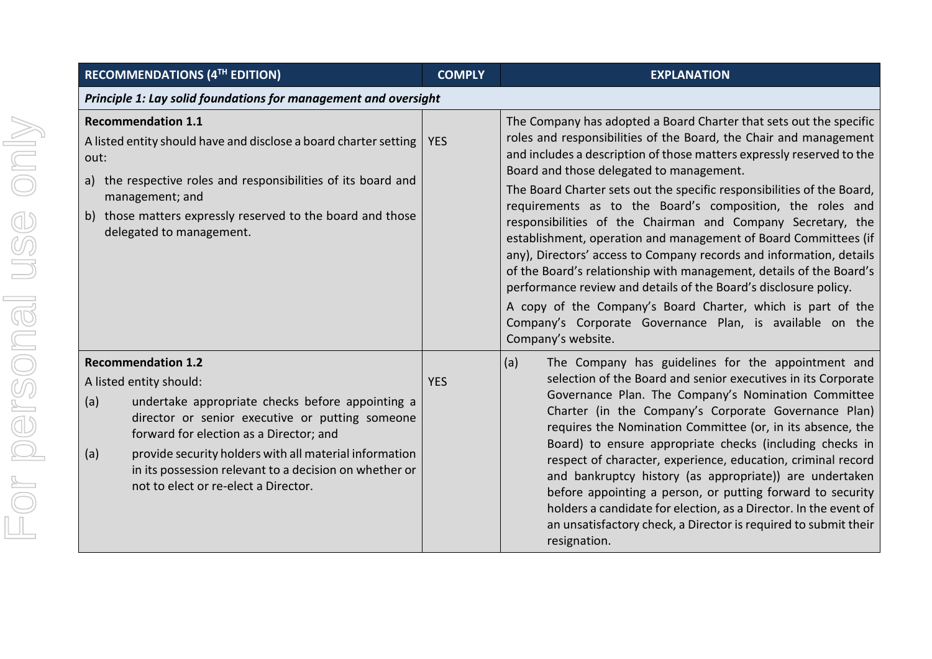| RECOMMENDATIONS (4TH EDITION)                                                                                                                                                                                                                                                                                                                                                    | <b>COMPLY</b> | <b>EXPLANATION</b>                                                                                                                                                                                                                                                                                                                                                                                                                                                                                                                                                                                                                                                                                                                                                                                                                                                                                       |
|----------------------------------------------------------------------------------------------------------------------------------------------------------------------------------------------------------------------------------------------------------------------------------------------------------------------------------------------------------------------------------|---------------|----------------------------------------------------------------------------------------------------------------------------------------------------------------------------------------------------------------------------------------------------------------------------------------------------------------------------------------------------------------------------------------------------------------------------------------------------------------------------------------------------------------------------------------------------------------------------------------------------------------------------------------------------------------------------------------------------------------------------------------------------------------------------------------------------------------------------------------------------------------------------------------------------------|
| Principle 1: Lay solid foundations for management and oversight                                                                                                                                                                                                                                                                                                                  |               |                                                                                                                                                                                                                                                                                                                                                                                                                                                                                                                                                                                                                                                                                                                                                                                                                                                                                                          |
| <b>Recommendation 1.1</b><br>A listed entity should have and disclose a board charter setting<br>out:<br>a) the respective roles and responsibilities of its board and<br>management; and<br>those matters expressly reserved to the board and those<br>b)<br>delegated to management.                                                                                           | <b>YES</b>    | The Company has adopted a Board Charter that sets out the specific<br>roles and responsibilities of the Board, the Chair and management<br>and includes a description of those matters expressly reserved to the<br>Board and those delegated to management.<br>The Board Charter sets out the specific responsibilities of the Board,<br>requirements as to the Board's composition, the roles and<br>responsibilities of the Chairman and Company Secretary, the<br>establishment, operation and management of Board Committees (if<br>any), Directors' access to Company records and information, details<br>of the Board's relationship with management, details of the Board's<br>performance review and details of the Board's disclosure policy.<br>A copy of the Company's Board Charter, which is part of the<br>Company's Corporate Governance Plan, is available on the<br>Company's website. |
| <b>Recommendation 1.2</b><br>A listed entity should:<br>(a)<br>undertake appropriate checks before appointing a<br>director or senior executive or putting someone<br>forward for election as a Director; and<br>provide security holders with all material information<br>(a)<br>in its possession relevant to a decision on whether or<br>not to elect or re-elect a Director. | <b>YES</b>    | (a)<br>The Company has guidelines for the appointment and<br>selection of the Board and senior executives in its Corporate<br>Governance Plan. The Company's Nomination Committee<br>Charter (in the Company's Corporate Governance Plan)<br>requires the Nomination Committee (or, in its absence, the<br>Board) to ensure appropriate checks (including checks in<br>respect of character, experience, education, criminal record<br>and bankruptcy history (as appropriate)) are undertaken<br>before appointing a person, or putting forward to security<br>holders a candidate for election, as a Director. In the event of<br>an unsatisfactory check, a Director is required to submit their<br>resignation.                                                                                                                                                                                      |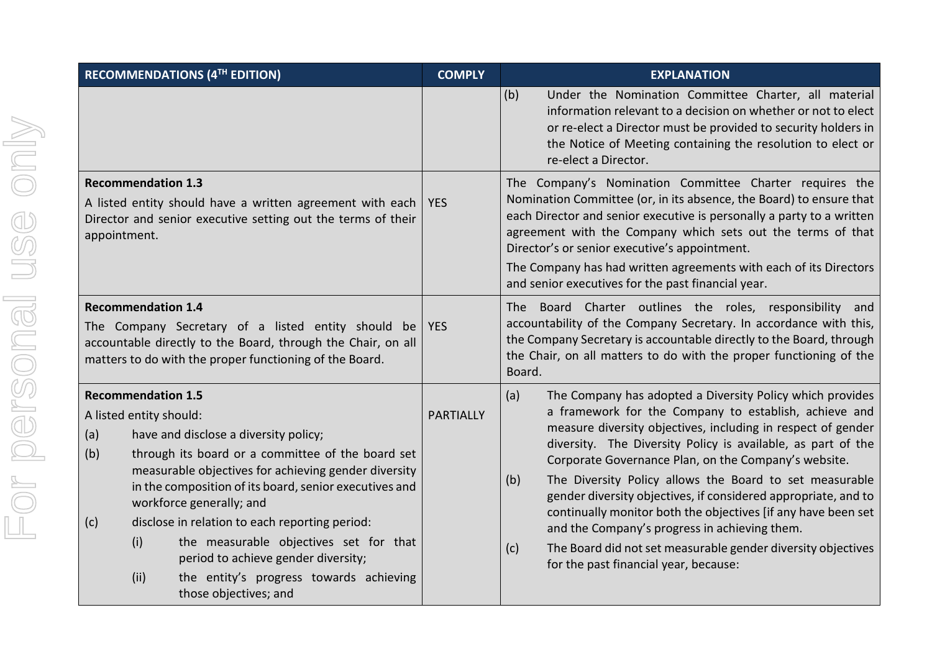| RECOMMENDATIONS (4TH EDITION)                                                                                                                                                                                                                                                                                                                                                                                                                                                                                                               | <b>COMPLY</b>    | <b>EXPLANATION</b>                                                                                                                                                                                                                                                                                                                                                                                                                                                                                                                                                                                                                                                                      |
|---------------------------------------------------------------------------------------------------------------------------------------------------------------------------------------------------------------------------------------------------------------------------------------------------------------------------------------------------------------------------------------------------------------------------------------------------------------------------------------------------------------------------------------------|------------------|-----------------------------------------------------------------------------------------------------------------------------------------------------------------------------------------------------------------------------------------------------------------------------------------------------------------------------------------------------------------------------------------------------------------------------------------------------------------------------------------------------------------------------------------------------------------------------------------------------------------------------------------------------------------------------------------|
|                                                                                                                                                                                                                                                                                                                                                                                                                                                                                                                                             |                  | (b)<br>Under the Nomination Committee Charter, all material<br>information relevant to a decision on whether or not to elect<br>or re-elect a Director must be provided to security holders in<br>the Notice of Meeting containing the resolution to elect or<br>re-elect a Director.                                                                                                                                                                                                                                                                                                                                                                                                   |
| <b>Recommendation 1.3</b><br>A listed entity should have a written agreement with each<br>Director and senior executive setting out the terms of their<br>appointment.                                                                                                                                                                                                                                                                                                                                                                      | <b>YES</b>       | The Company's Nomination Committee Charter requires the<br>Nomination Committee (or, in its absence, the Board) to ensure that<br>each Director and senior executive is personally a party to a written<br>agreement with the Company which sets out the terms of that<br>Director's or senior executive's appointment.<br>The Company has had written agreements with each of its Directors<br>and senior executives for the past financial year.                                                                                                                                                                                                                                      |
| <b>Recommendation 1.4</b><br>The Company Secretary of a listed entity should be<br>accountable directly to the Board, through the Chair, on all<br>matters to do with the proper functioning of the Board.                                                                                                                                                                                                                                                                                                                                  | <b>YES</b>       | The Board Charter outlines the roles, responsibility and<br>accountability of the Company Secretary. In accordance with this,<br>the Company Secretary is accountable directly to the Board, through<br>the Chair, on all matters to do with the proper functioning of the<br>Board.                                                                                                                                                                                                                                                                                                                                                                                                    |
| <b>Recommendation 1.5</b><br>A listed entity should:<br>have and disclose a diversity policy;<br>(a)<br>(b)<br>through its board or a committee of the board set<br>measurable objectives for achieving gender diversity<br>in the composition of its board, senior executives and<br>workforce generally; and<br>disclose in relation to each reporting period:<br>(c)<br>(i)<br>the measurable objectives set for that<br>period to achieve gender diversity;<br>(ii)<br>the entity's progress towards achieving<br>those objectives; and | <b>PARTIALLY</b> | (a)<br>The Company has adopted a Diversity Policy which provides<br>a framework for the Company to establish, achieve and<br>measure diversity objectives, including in respect of gender<br>diversity. The Diversity Policy is available, as part of the<br>Corporate Governance Plan, on the Company's website.<br>The Diversity Policy allows the Board to set measurable<br>(b)<br>gender diversity objectives, if considered appropriate, and to<br>continually monitor both the objectives [if any have been set<br>and the Company's progress in achieving them.<br>The Board did not set measurable gender diversity objectives<br>(c)<br>for the past financial year, because: |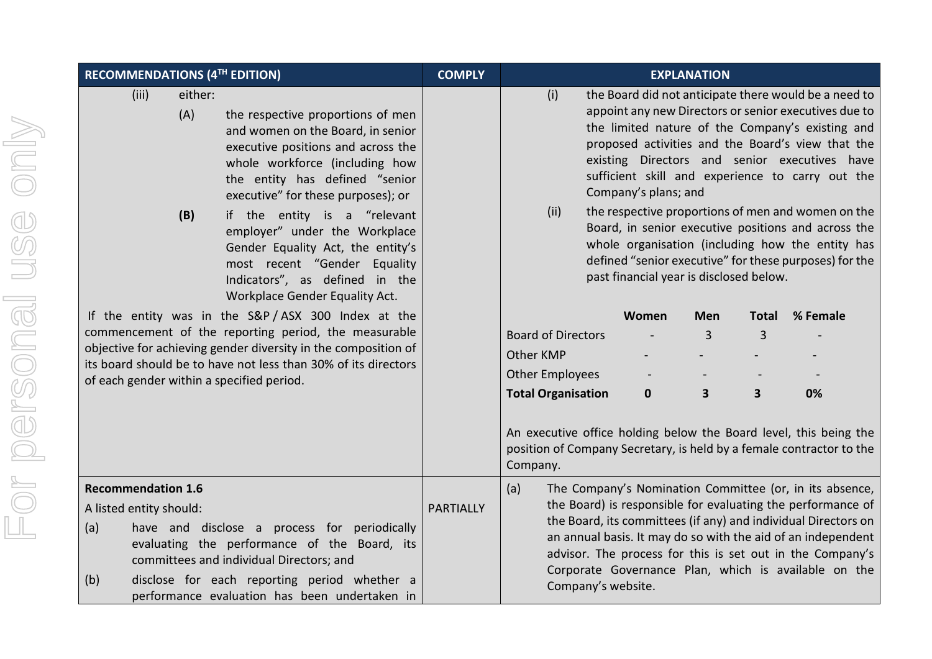| RECOMMENDATIONS (4TH EDITION) |                                                   |                       | <b>COMPLY</b>                                                                                                                                                                                                                                                                           | <b>EXPLANATION</b> |                           |                    |                                         |              |          |                                                                                                                                                                                                                                                                                                                                                                                                                                           |
|-------------------------------|---------------------------------------------------|-----------------------|-----------------------------------------------------------------------------------------------------------------------------------------------------------------------------------------------------------------------------------------------------------------------------------------|--------------------|---------------------------|--------------------|-----------------------------------------|--------------|----------|-------------------------------------------------------------------------------------------------------------------------------------------------------------------------------------------------------------------------------------------------------------------------------------------------------------------------------------------------------------------------------------------------------------------------------------------|
|                               | (iii)                                             | either:<br>(A)<br>(B) | the respective proportions of men<br>and women on the Board, in senior<br>executive positions and across the<br>whole workforce (including how<br>the entity has defined "senior<br>executive" for these purposes); or<br>if the entity is a "relevant<br>employer" under the Workplace |                    | (i)<br>(ii)               |                    | Company's plans; and                    |              |          | the Board did not anticipate there would be a need to<br>appoint any new Directors or senior executives due to<br>the limited nature of the Company's existing and<br>proposed activities and the Board's view that the<br>existing Directors and senior executives have<br>sufficient skill and experience to carry out the<br>the respective proportions of men and women on the<br>Board, in senior executive positions and across the |
|                               |                                                   |                       | Gender Equality Act, the entity's<br>most recent "Gender Equality<br>Indicators", as defined in the<br>Workplace Gender Equality Act.                                                                                                                                                   |                    |                           |                    | past financial year is disclosed below. |              |          | whole organisation (including how the entity has<br>defined "senior executive" for these purposes) for the                                                                                                                                                                                                                                                                                                                                |
|                               | If the entity was in the S&P/ASX 300 Index at the |                       |                                                                                                                                                                                                                                                                                         |                    |                           | Women              | <b>Men</b>                              | <b>Total</b> | % Female |                                                                                                                                                                                                                                                                                                                                                                                                                                           |
|                               |                                                   |                       | commencement of the reporting period, the measurable                                                                                                                                                                                                                                    |                    | <b>Board of Directors</b> |                    |                                         | 3            | 3        |                                                                                                                                                                                                                                                                                                                                                                                                                                           |
|                               |                                                   |                       | objective for achieving gender diversity in the composition of<br>its board should be to have not less than 30% of its directors                                                                                                                                                        |                    | Other KMP                 |                    |                                         |              |          |                                                                                                                                                                                                                                                                                                                                                                                                                                           |
|                               |                                                   |                       | of each gender within a specified period.                                                                                                                                                                                                                                               |                    | <b>Other Employees</b>    |                    |                                         |              |          |                                                                                                                                                                                                                                                                                                                                                                                                                                           |
|                               |                                                   |                       |                                                                                                                                                                                                                                                                                         |                    | <b>Total Organisation</b> |                    | $\mathbf 0$                             | 3            | 3        | 0%                                                                                                                                                                                                                                                                                                                                                                                                                                        |
|                               |                                                   |                       |                                                                                                                                                                                                                                                                                         |                    | Company.                  |                    |                                         |              |          | An executive office holding below the Board level, this being the<br>position of Company Secretary, is held by a female contractor to the                                                                                                                                                                                                                                                                                                 |
|                               | <b>Recommendation 1.6</b>                         |                       |                                                                                                                                                                                                                                                                                         |                    | (a)                       |                    |                                         |              |          | The Company's Nomination Committee (or, in its absence,                                                                                                                                                                                                                                                                                                                                                                                   |
| A listed entity should:       |                                                   | <b>PARTIALLY</b>      | the Board) is responsible for evaluating the performance of<br>the Board, its committees (if any) and individual Directors on                                                                                                                                                           |                    |                           |                    |                                         |              |          |                                                                                                                                                                                                                                                                                                                                                                                                                                           |
| (a)                           |                                                   |                       | have and disclose a process for periodically<br>evaluating the performance of the Board, its<br>committees and individual Directors; and                                                                                                                                                |                    |                           |                    |                                         |              |          | an annual basis. It may do so with the aid of an independent<br>advisor. The process for this is set out in the Company's                                                                                                                                                                                                                                                                                                                 |
| (b)                           |                                                   |                       | disclose for each reporting period whether a<br>performance evaluation has been undertaken in                                                                                                                                                                                           |                    |                           | Company's website. |                                         |              |          | Corporate Governance Plan, which is available on the                                                                                                                                                                                                                                                                                                                                                                                      |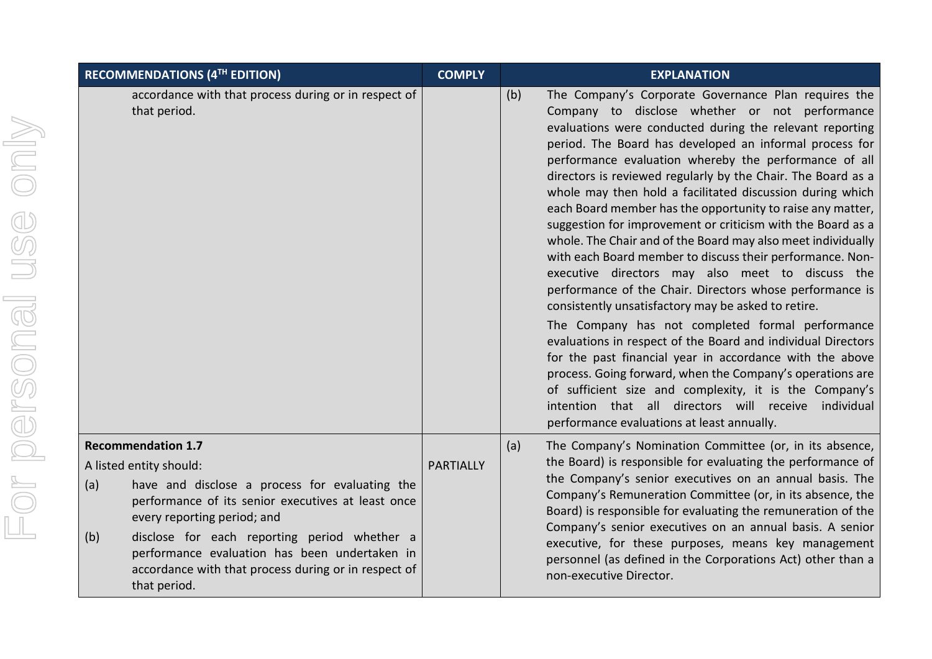|     | RECOMMENDATIONS (4TH EDITION)                                                                                                                                                               | <b>COMPLY</b> | <b>EXPLANATION</b>                                                                                                                                                                                                                                                                                                                                                                                                                                                                                                                                                                                                                                                                                                                                                                                                                                                                                                                                                                                                                                                                                                                                                                                                                                                       |  |  |  |
|-----|---------------------------------------------------------------------------------------------------------------------------------------------------------------------------------------------|---------------|--------------------------------------------------------------------------------------------------------------------------------------------------------------------------------------------------------------------------------------------------------------------------------------------------------------------------------------------------------------------------------------------------------------------------------------------------------------------------------------------------------------------------------------------------------------------------------------------------------------------------------------------------------------------------------------------------------------------------------------------------------------------------------------------------------------------------------------------------------------------------------------------------------------------------------------------------------------------------------------------------------------------------------------------------------------------------------------------------------------------------------------------------------------------------------------------------------------------------------------------------------------------------|--|--|--|
|     | accordance with that process during or in respect of<br>that period.                                                                                                                        |               | The Company's Corporate Governance Plan requires the<br>(b)<br>Company to disclose whether or not performance<br>evaluations were conducted during the relevant reporting<br>period. The Board has developed an informal process for<br>performance evaluation whereby the performance of all<br>directors is reviewed regularly by the Chair. The Board as a<br>whole may then hold a facilitated discussion during which<br>each Board member has the opportunity to raise any matter,<br>suggestion for improvement or criticism with the Board as a<br>whole. The Chair and of the Board may also meet individually<br>with each Board member to discuss their performance. Non-<br>executive directors may also meet to discuss the<br>performance of the Chair. Directors whose performance is<br>consistently unsatisfactory may be asked to retire.<br>The Company has not completed formal performance<br>evaluations in respect of the Board and individual Directors<br>for the past financial year in accordance with the above<br>process. Going forward, when the Company's operations are<br>of sufficient size and complexity, it is the Company's<br>intention that all directors will receive individual<br>performance evaluations at least annually. |  |  |  |
| (a) | <b>Recommendation 1.7</b><br>A listed entity should:<br>have and disclose a process for evaluating the<br>performance of its senior executives at least once<br>every reporting period; and |               | (a)<br>The Company's Nomination Committee (or, in its absence,<br>the Board) is responsible for evaluating the performance of<br>the Company's senior executives on an annual basis. The<br>Company's Remuneration Committee (or, in its absence, the<br>Board) is responsible for evaluating the remuneration of the                                                                                                                                                                                                                                                                                                                                                                                                                                                                                                                                                                                                                                                                                                                                                                                                                                                                                                                                                    |  |  |  |
| (b) | disclose for each reporting period whether a<br>performance evaluation has been undertaken in<br>accordance with that process during or in respect of<br>that period.                       |               | Company's senior executives on an annual basis. A senior<br>executive, for these purposes, means key management<br>personnel (as defined in the Corporations Act) other than a<br>non-executive Director.                                                                                                                                                                                                                                                                                                                                                                                                                                                                                                                                                                                                                                                                                                                                                                                                                                                                                                                                                                                                                                                                |  |  |  |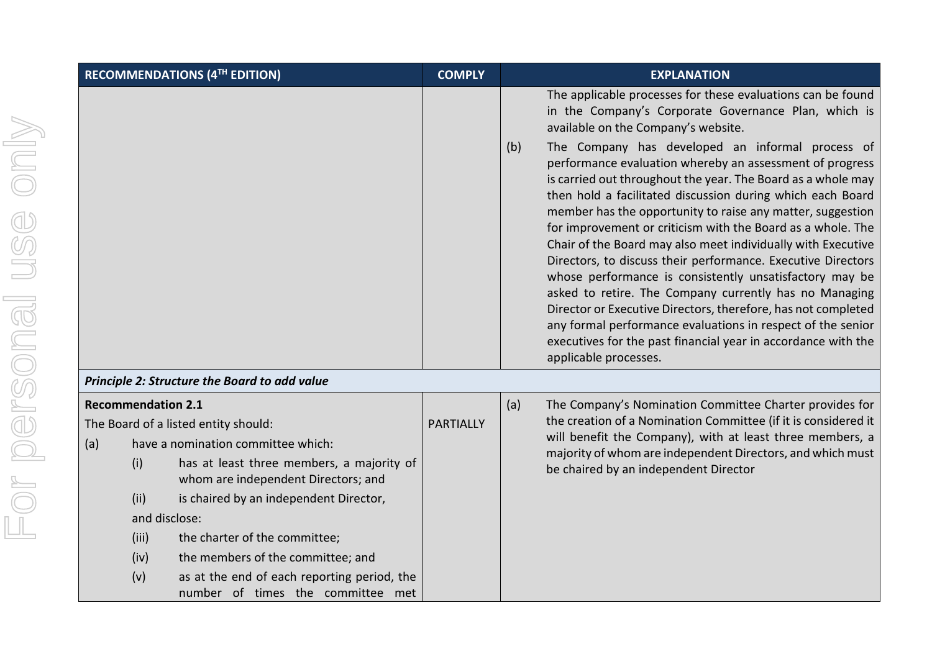| RECOMMENDATIONS (4TH EDITION) |                           | <b>COMPLY</b>                                                                    |                  | <b>EXPLANATION</b> |                                                                                                                                                                                                                                                                                                                                                                                                                                                                                                                                                                                                                                                                                                                                                                                                                                                        |
|-------------------------------|---------------------------|----------------------------------------------------------------------------------|------------------|--------------------|--------------------------------------------------------------------------------------------------------------------------------------------------------------------------------------------------------------------------------------------------------------------------------------------------------------------------------------------------------------------------------------------------------------------------------------------------------------------------------------------------------------------------------------------------------------------------------------------------------------------------------------------------------------------------------------------------------------------------------------------------------------------------------------------------------------------------------------------------------|
|                               |                           |                                                                                  |                  |                    | The applicable processes for these evaluations can be found<br>in the Company's Corporate Governance Plan, which is<br>available on the Company's website.                                                                                                                                                                                                                                                                                                                                                                                                                                                                                                                                                                                                                                                                                             |
|                               |                           |                                                                                  |                  | (b)                | The Company has developed an informal process of<br>performance evaluation whereby an assessment of progress<br>is carried out throughout the year. The Board as a whole may<br>then hold a facilitated discussion during which each Board<br>member has the opportunity to raise any matter, suggestion<br>for improvement or criticism with the Board as a whole. The<br>Chair of the Board may also meet individually with Executive<br>Directors, to discuss their performance. Executive Directors<br>whose performance is consistently unsatisfactory may be<br>asked to retire. The Company currently has no Managing<br>Director or Executive Directors, therefore, has not completed<br>any formal performance evaluations in respect of the senior<br>executives for the past financial year in accordance with the<br>applicable processes. |
|                               |                           | Principle 2: Structure the Board to add value                                    |                  |                    |                                                                                                                                                                                                                                                                                                                                                                                                                                                                                                                                                                                                                                                                                                                                                                                                                                                        |
|                               | <b>Recommendation 2.1</b> |                                                                                  |                  | (a)                | The Company's Nomination Committee Charter provides for                                                                                                                                                                                                                                                                                                                                                                                                                                                                                                                                                                                                                                                                                                                                                                                                |
|                               |                           | The Board of a listed entity should:                                             | <b>PARTIALLY</b> |                    | the creation of a Nomination Committee (if it is considered it                                                                                                                                                                                                                                                                                                                                                                                                                                                                                                                                                                                                                                                                                                                                                                                         |
| (a)                           |                           | have a nomination committee which:                                               |                  |                    | will benefit the Company), with at least three members, a<br>majority of whom are independent Directors, and which must                                                                                                                                                                                                                                                                                                                                                                                                                                                                                                                                                                                                                                                                                                                                |
|                               | (i)                       | has at least three members, a majority of<br>whom are independent Directors; and |                  |                    | be chaired by an independent Director                                                                                                                                                                                                                                                                                                                                                                                                                                                                                                                                                                                                                                                                                                                                                                                                                  |
|                               | (ii)                      | is chaired by an independent Director,                                           |                  |                    |                                                                                                                                                                                                                                                                                                                                                                                                                                                                                                                                                                                                                                                                                                                                                                                                                                                        |
|                               | and disclose:             |                                                                                  |                  |                    |                                                                                                                                                                                                                                                                                                                                                                                                                                                                                                                                                                                                                                                                                                                                                                                                                                                        |
|                               | (iii)                     | the charter of the committee;                                                    |                  |                    |                                                                                                                                                                                                                                                                                                                                                                                                                                                                                                                                                                                                                                                                                                                                                                                                                                                        |
|                               | (iv)                      | the members of the committee; and                                                |                  |                    |                                                                                                                                                                                                                                                                                                                                                                                                                                                                                                                                                                                                                                                                                                                                                                                                                                                        |
|                               | (v)                       | as at the end of each reporting period, the                                      |                  |                    |                                                                                                                                                                                                                                                                                                                                                                                                                                                                                                                                                                                                                                                                                                                                                                                                                                                        |
|                               |                           | number of times the committee met                                                |                  |                    |                                                                                                                                                                                                                                                                                                                                                                                                                                                                                                                                                                                                                                                                                                                                                                                                                                                        |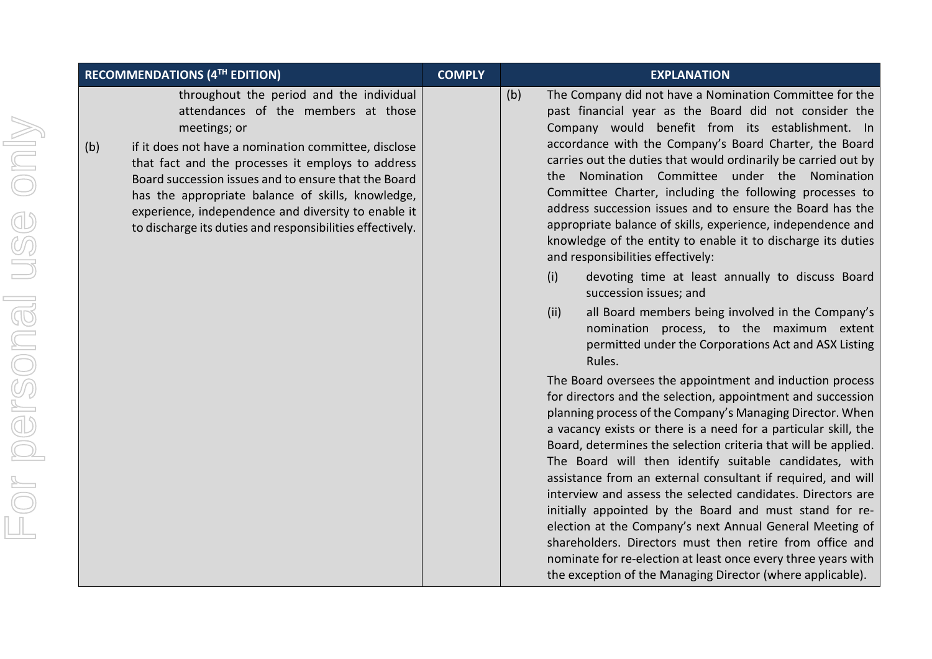| <b>RECOMMENDATIONS (4TH EDITION)</b>                                                                                                                                                                                                                                                                                                                                                                                                                 | <b>COMPLY</b> | <b>EXPLANATION</b>                                                                                                                                                                                                                                                                                                                                                                                                                                                                                                                                                                                                                                                                                                                                                                                                                                                                                                                                                              |
|------------------------------------------------------------------------------------------------------------------------------------------------------------------------------------------------------------------------------------------------------------------------------------------------------------------------------------------------------------------------------------------------------------------------------------------------------|---------------|---------------------------------------------------------------------------------------------------------------------------------------------------------------------------------------------------------------------------------------------------------------------------------------------------------------------------------------------------------------------------------------------------------------------------------------------------------------------------------------------------------------------------------------------------------------------------------------------------------------------------------------------------------------------------------------------------------------------------------------------------------------------------------------------------------------------------------------------------------------------------------------------------------------------------------------------------------------------------------|
| throughout the period and the individual<br>attendances of the members at those<br>meetings; or<br>(b)<br>if it does not have a nomination committee, disclose<br>that fact and the processes it employs to address<br>Board succession issues and to ensure that the Board<br>has the appropriate balance of skills, knowledge,<br>experience, independence and diversity to enable it<br>to discharge its duties and responsibilities effectively. |               | The Company did not have a Nom<br>(b)<br>past financial year as the Boa<br>Company would benefit fron<br>accordance with the Company's<br>carries out the duties that would<br>Nomination Committee<br>the<br>Committee Charter, including th<br>address succession issues and to<br>appropriate balance of skills, expe<br>knowledge of the entity to enabl<br>and responsibilities effectively:<br>(i)<br>devoting time at least a<br>succession issues; and<br>(ii)<br>all Board members being<br>nomination process, to<br>permitted under the Corpo<br>Rules.<br>The Board oversees the appointn<br>for directors and the selection, ap<br>planning process of the Company'<br>a vacancy exists or there is a nee<br>Board, determines the selection o<br>The Board will then identify<br>assistance from an external cons<br>interview and assess the selected<br>initially appointed by the Board<br>election at the Company's next /<br>shareholders. Directors must th |

- The Company did not have a Nomination Committee for the past financial year as the Board did not consider the Company would benefit from its establishment. In accordance with the Company's Board Charter, the Board carries out the duties that would ordinarily be carried out by the Nomination Committee under the Nomination Committee Charter, including the following processes to address succession issues and to ensure the Board has the appropriate balance of skills, experience, independence and knowledge of the entity to enable it to discharge its duties and responsibilities effectively:
	- (i) devoting time at least annually to discuss Board succession issues; and
	- (ii) all Board members being involved in the Company's nomination process, to the maximum extent permitted under the Corporations Act and ASX Listing Rules.

The Board oversees the appointment and induction process for directors and the selection, appointment and succession planning process of the Company's Managing Director. When a vacancy exists or there is a need for a particular skill, the Board, determines the selection criteria that will be applied. The Board will then identify suitable candidates, with assistance from an external consultant if required, and will interview and assess the selected candidates. Directors are initially appointed by the Board and must stand for reelection at the Company's next Annual General Meeting of shareholders. Directors must then retire from office and nominate for re-election at least once every three years with the exception of the Managing Director (where applicable).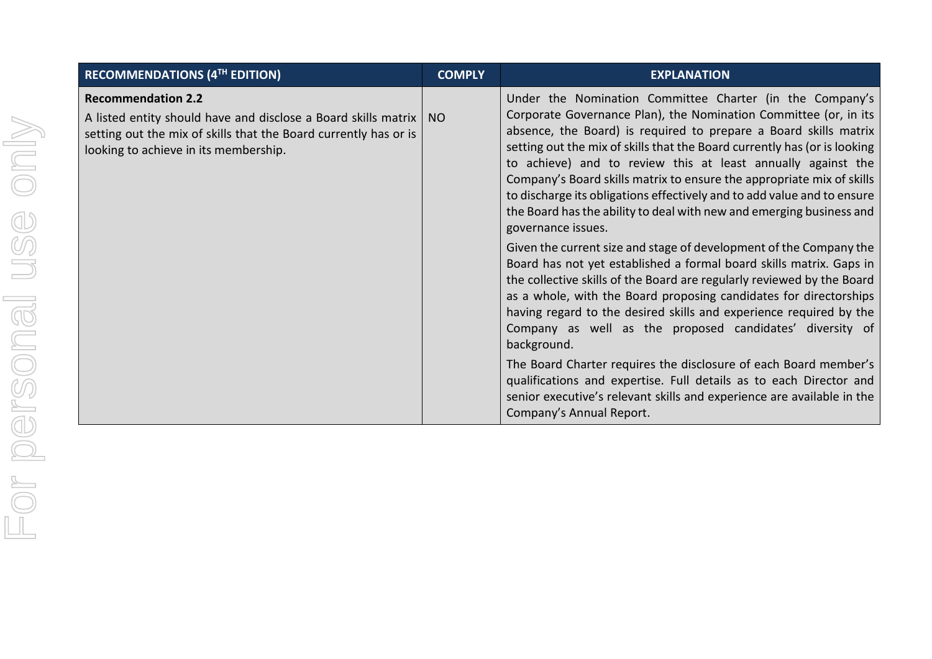| <b>RECOMMENDATIONS (4TH EDITION)</b>                                                                                                                                                                          | <b>COMPLY</b> | <b>EXPLANATION</b>                                                                                                                                                                                                                                                                                                                                                                                                                                                                                                                                                                                                                                                                                                                                                                                                                                                                                                                                                                                                                                                                                                                                                                                                                                                                           |
|---------------------------------------------------------------------------------------------------------------------------------------------------------------------------------------------------------------|---------------|----------------------------------------------------------------------------------------------------------------------------------------------------------------------------------------------------------------------------------------------------------------------------------------------------------------------------------------------------------------------------------------------------------------------------------------------------------------------------------------------------------------------------------------------------------------------------------------------------------------------------------------------------------------------------------------------------------------------------------------------------------------------------------------------------------------------------------------------------------------------------------------------------------------------------------------------------------------------------------------------------------------------------------------------------------------------------------------------------------------------------------------------------------------------------------------------------------------------------------------------------------------------------------------------|
| <b>Recommendation 2.2</b><br>A listed entity should have and disclose a Board skills matrix   NO<br>setting out the mix of skills that the Board currently has or is<br>looking to achieve in its membership. |               | Under the Nomination Committee Charter (in the Company's<br>Corporate Governance Plan), the Nomination Committee (or, in its<br>absence, the Board) is required to prepare a Board skills matrix<br>setting out the mix of skills that the Board currently has (or is looking<br>to achieve) and to review this at least annually against the<br>Company's Board skills matrix to ensure the appropriate mix of skills<br>to discharge its obligations effectively and to add value and to ensure<br>the Board has the ability to deal with new and emerging business and<br>governance issues.<br>Given the current size and stage of development of the Company the<br>Board has not yet established a formal board skills matrix. Gaps in<br>the collective skills of the Board are regularly reviewed by the Board<br>as a whole, with the Board proposing candidates for directorships<br>having regard to the desired skills and experience required by the<br>Company as well as the proposed candidates' diversity of<br>background.<br>The Board Charter requires the disclosure of each Board member's<br>qualifications and expertise. Full details as to each Director and<br>senior executive's relevant skills and experience are available in the<br>Company's Annual Report. |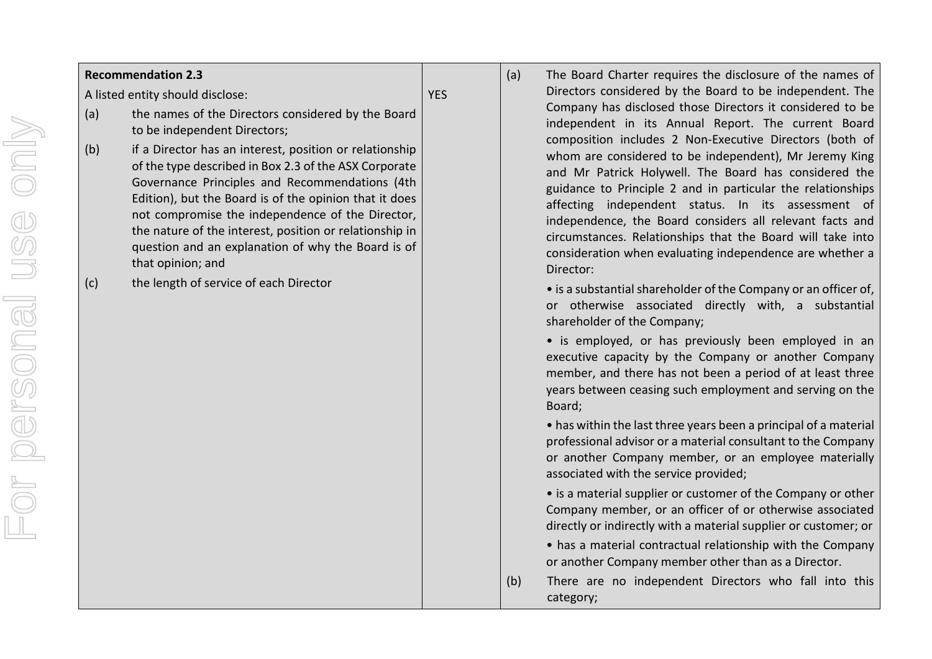# For personal use onlyFor personal use only

## **Recommendation 2.3**

A listed entity should disclose:

**YES** 

- (a) the names of the Directors considered by the Board to be independent Directors;
- (b) if a Director has an interest, position or relationship of the type described in Box 2.3 of the ASX Corporate Governance Principles and Recommendations (4th Edition), but the Board is of the opinion that it does not compromise the independence of the Director, the nature of the interest, position or relationship in question and an explanation of why the Board is of that opinion; and
- (c) the length of service of each Director
- (a) The Board Charter requires the disclosure of the names of Directors considered by the Board to be independent. The Company has disclosed those Directors it considered to be independent in its Annual Report. The current Board composition includes 2 Non-Executive Directors (both of whom are considered to be independent), Mr Jeremy King and Mr Patrick Holywell. The Board has considered the guidance to Principle 2 and in particular the relationships affecting independent status. In its assessment of independence, the Board considers all relevant facts and circumstances. Relationships that the Board will take into consideration when evaluating independence are whether a Director:
	- is a substantial shareholder of the Company or an officer of, or otherwise associated directly with, a substantial shareholder of the Company;
	- is employed, or has previously been employed in an executive capacity by the Company or another Company member, and there has not been a period of at least three years between ceasing such employment and serving on the Board;
	- has within the last three years been a principal of a material professional advisor or a material consultant to the Company or another Company member, or an employee materially associated with the service provided;
	- is a material supplier or customer of the Company or other Company member, or an officer of or otherwise associated directly or indirectly with a material supplier or customer; or
	- has a material contractual relationship with the Company or another Company member other than as a Director.
- (b) There are no independent Directors who fall into this category;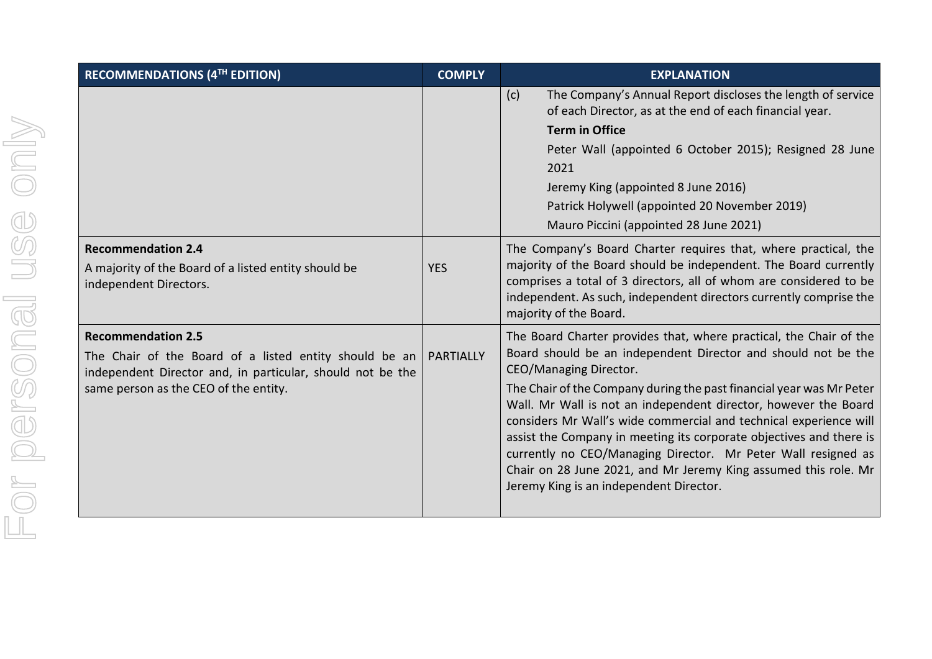| <b>RECOMMENDATIONS (4TH EDITION)</b>                                                                                                                                                       | <b>COMPLY</b>    | <b>EXPLANATION</b>                                                                                                                                                                                                                                                                                                                                                                                                                                                                                                                                                                                                                  |
|--------------------------------------------------------------------------------------------------------------------------------------------------------------------------------------------|------------------|-------------------------------------------------------------------------------------------------------------------------------------------------------------------------------------------------------------------------------------------------------------------------------------------------------------------------------------------------------------------------------------------------------------------------------------------------------------------------------------------------------------------------------------------------------------------------------------------------------------------------------------|
|                                                                                                                                                                                            |                  | The Company's Annual Report discloses the length of service<br>(c)<br>of each Director, as at the end of each financial year.<br><b>Term in Office</b><br>Peter Wall (appointed 6 October 2015); Resigned 28 June<br>2021<br>Jeremy King (appointed 8 June 2016)<br>Patrick Holywell (appointed 20 November 2019)<br>Mauro Piccini (appointed 28 June 2021)                                                                                                                                                                                                                                                                         |
| <b>Recommendation 2.4</b><br>A majority of the Board of a listed entity should be<br>independent Directors.                                                                                | <b>YES</b>       | The Company's Board Charter requires that, where practical, the<br>majority of the Board should be independent. The Board currently<br>comprises a total of 3 directors, all of whom are considered to be<br>independent. As such, independent directors currently comprise the<br>majority of the Board.                                                                                                                                                                                                                                                                                                                           |
| <b>Recommendation 2.5</b><br>The Chair of the Board of a listed entity should be an<br>independent Director and, in particular, should not be the<br>same person as the CEO of the entity. | <b>PARTIALLY</b> | The Board Charter provides that, where practical, the Chair of the<br>Board should be an independent Director and should not be the<br>CEO/Managing Director.<br>The Chair of the Company during the past financial year was Mr Peter<br>Wall. Mr Wall is not an independent director, however the Board<br>considers Mr Wall's wide commercial and technical experience will<br>assist the Company in meeting its corporate objectives and there is<br>currently no CEO/Managing Director. Mr Peter Wall resigned as<br>Chair on 28 June 2021, and Mr Jeremy King assumed this role. Mr<br>Jeremy King is an independent Director. |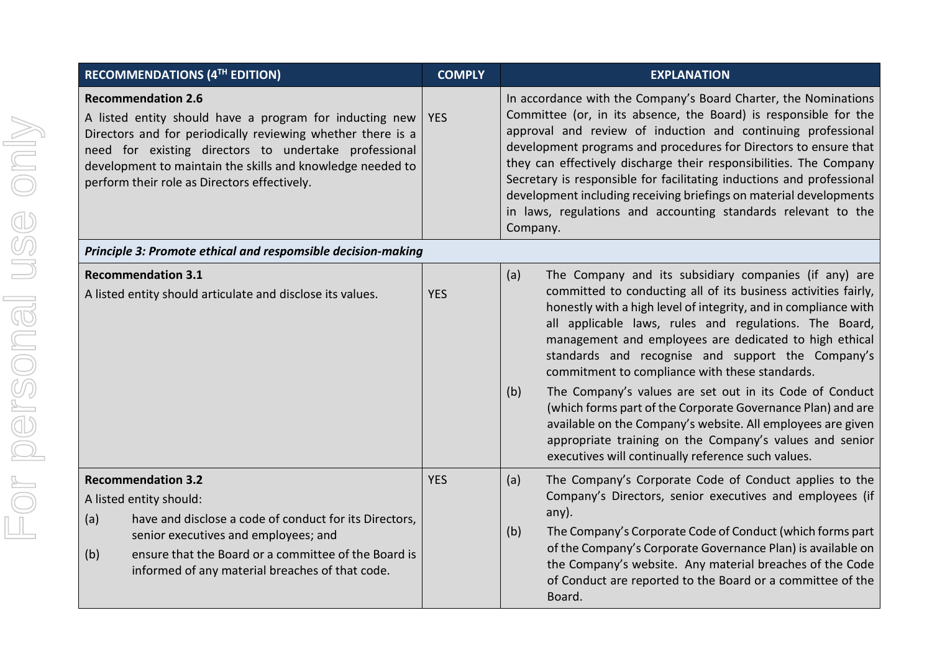| <b>RECOMMENDATIONS (4TH EDITION)</b>                                                                                                                                                                                                                                                                                       | <b>COMPLY</b> | <b>EXPLANATION</b>                                                                                                                                                                                                                                                                                                                                                                                                                                                                                                                                                                                                                                                                                                                            |  |  |  |
|----------------------------------------------------------------------------------------------------------------------------------------------------------------------------------------------------------------------------------------------------------------------------------------------------------------------------|---------------|-----------------------------------------------------------------------------------------------------------------------------------------------------------------------------------------------------------------------------------------------------------------------------------------------------------------------------------------------------------------------------------------------------------------------------------------------------------------------------------------------------------------------------------------------------------------------------------------------------------------------------------------------------------------------------------------------------------------------------------------------|--|--|--|
| <b>Recommendation 2.6</b><br>A listed entity should have a program for inducting new<br>Directors and for periodically reviewing whether there is a<br>need for existing directors to undertake professional<br>development to maintain the skills and knowledge needed to<br>perform their role as Directors effectively. | <b>YES</b>    | In accordance with the Company's Board Charter, the Nominations<br>Committee (or, in its absence, the Board) is responsible for the<br>approval and review of induction and continuing professional<br>development programs and procedures for Directors to ensure that<br>they can effectively discharge their responsibilities. The Company<br>Secretary is responsible for facilitating inductions and professional<br>development including receiving briefings on material developments<br>in laws, regulations and accounting standards relevant to the<br>Company.                                                                                                                                                                     |  |  |  |
| Principle 3: Promote ethical and respomsible decision-making                                                                                                                                                                                                                                                               |               |                                                                                                                                                                                                                                                                                                                                                                                                                                                                                                                                                                                                                                                                                                                                               |  |  |  |
| <b>Recommendation 3.1</b><br>A listed entity should articulate and disclose its values.                                                                                                                                                                                                                                    | <b>YES</b>    | (a)<br>The Company and its subsidiary companies (if any) are<br>committed to conducting all of its business activities fairly,<br>honestly with a high level of integrity, and in compliance with<br>all applicable laws, rules and regulations. The Board,<br>management and employees are dedicated to high ethical<br>standards and recognise and support the Company's<br>commitment to compliance with these standards.<br>The Company's values are set out in its Code of Conduct<br>(b)<br>(which forms part of the Corporate Governance Plan) and are<br>available on the Company's website. All employees are given<br>appropriate training on the Company's values and senior<br>executives will continually reference such values. |  |  |  |
| <b>Recommendation 3.2</b><br>A listed entity should:<br>have and disclose a code of conduct for its Directors,<br>(a)<br>senior executives and employees; and<br>ensure that the Board or a committee of the Board is<br>(b)<br>informed of any material breaches of that code.                                            | <b>YES</b>    | The Company's Corporate Code of Conduct applies to the<br>(a)<br>Company's Directors, senior executives and employees (if<br>any).<br>The Company's Corporate Code of Conduct (which forms part<br>(b)<br>of the Company's Corporate Governance Plan) is available on<br>the Company's website. Any material breaches of the Code<br>of Conduct are reported to the Board or a committee of the<br>Board.                                                                                                                                                                                                                                                                                                                                     |  |  |  |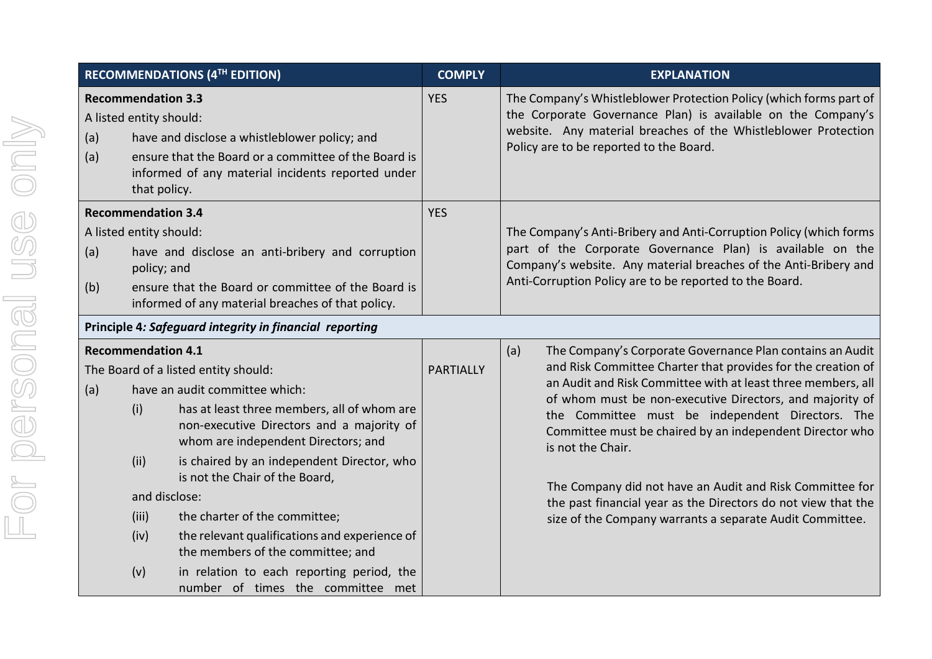|                                                                                                                                                                                                                                                  |                                                                                                                                                                                                                                    | <b>RECOMMENDATIONS (4TH EDITION)</b>                                                                                                                                                                                                                                                                                                                                                                                                                                                               | <b>COMPLY</b>    | <b>EXPLANATION</b>                                                                                                                                                                                                                                                                                                                                                                                                                                                                                                                                                                         |
|--------------------------------------------------------------------------------------------------------------------------------------------------------------------------------------------------------------------------------------------------|------------------------------------------------------------------------------------------------------------------------------------------------------------------------------------------------------------------------------------|----------------------------------------------------------------------------------------------------------------------------------------------------------------------------------------------------------------------------------------------------------------------------------------------------------------------------------------------------------------------------------------------------------------------------------------------------------------------------------------------------|------------------|--------------------------------------------------------------------------------------------------------------------------------------------------------------------------------------------------------------------------------------------------------------------------------------------------------------------------------------------------------------------------------------------------------------------------------------------------------------------------------------------------------------------------------------------------------------------------------------------|
| (a)<br>(a)                                                                                                                                                                                                                                       | <b>Recommendation 3.3</b><br>A listed entity should:<br>have and disclose a whistleblower policy; and<br>ensure that the Board or a committee of the Board is<br>informed of any material incidents reported under<br>that policy. |                                                                                                                                                                                                                                                                                                                                                                                                                                                                                                    |                  | The Company's Whistleblower Protection Policy (which forms part of<br>the Corporate Governance Plan) is available on the Company's<br>website. Any material breaches of the Whistleblower Protection<br>Policy are to be reported to the Board.                                                                                                                                                                                                                                                                                                                                            |
| <b>Recommendation 3.4</b><br>A listed entity should:<br>have and disclose an anti-bribery and corruption<br>(a)<br>policy; and<br>ensure that the Board or committee of the Board is<br>(b)<br>informed of any material breaches of that policy. |                                                                                                                                                                                                                                    |                                                                                                                                                                                                                                                                                                                                                                                                                                                                                                    | <b>YES</b>       | The Company's Anti-Bribery and Anti-Corruption Policy (which forms<br>part of the Corporate Governance Plan) is available on the<br>Company's website. Any material breaches of the Anti-Bribery and<br>Anti-Corruption Policy are to be reported to the Board.                                                                                                                                                                                                                                                                                                                            |
|                                                                                                                                                                                                                                                  |                                                                                                                                                                                                                                    | Principle 4: Safeguard integrity in financial reporting                                                                                                                                                                                                                                                                                                                                                                                                                                            |                  |                                                                                                                                                                                                                                                                                                                                                                                                                                                                                                                                                                                            |
| (a)                                                                                                                                                                                                                                              | <b>Recommendation 4.1</b><br>(i)<br>(ii)<br>and disclose:<br>(iii)<br>(iv)<br>(v)                                                                                                                                                  | The Board of a listed entity should:<br>have an audit committee which:<br>has at least three members, all of whom are<br>non-executive Directors and a majority of<br>whom are independent Directors; and<br>is chaired by an independent Director, who<br>is not the Chair of the Board,<br>the charter of the committee;<br>the relevant qualifications and experience of<br>the members of the committee; and<br>in relation to each reporting period, the<br>number of times the committee met | <b>PARTIALLY</b> | (a)<br>The Company's Corporate Governance Plan contains an Audit<br>and Risk Committee Charter that provides for the creation of<br>an Audit and Risk Committee with at least three members, all<br>of whom must be non-executive Directors, and majority of<br>the Committee must be independent Directors. The<br>Committee must be chaired by an independent Director who<br>is not the Chair.<br>The Company did not have an Audit and Risk Committee for<br>the past financial year as the Directors do not view that the<br>size of the Company warrants a separate Audit Committee. |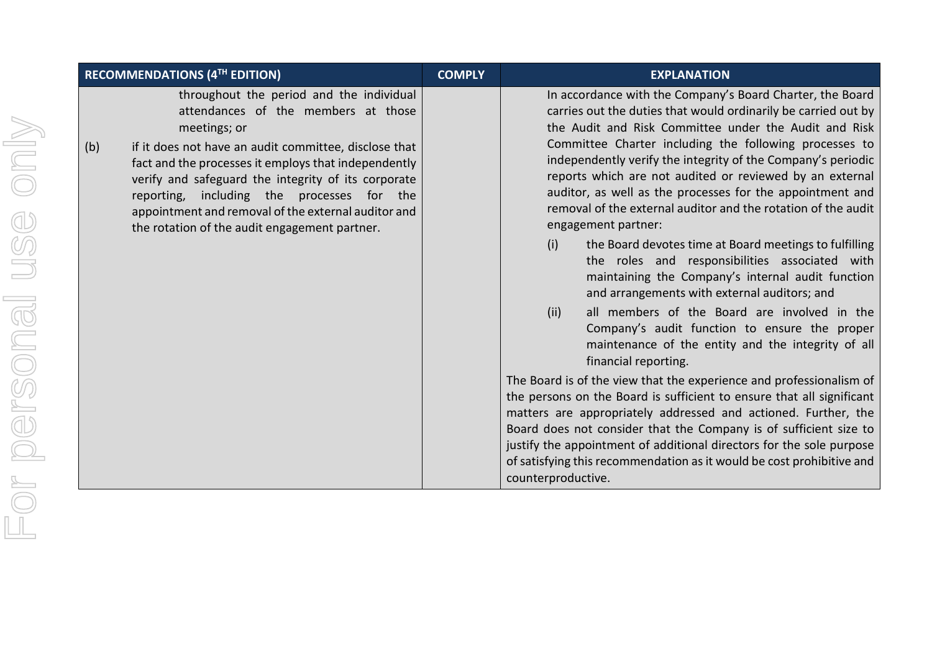|     | <b>RECOMMENDATIONS (4TH EDITION)</b>                                                                                                                                                                                                                                                                                                                                                                                          | <b>COMPLY</b> | <b>EXPLANATION</b>                                                                                                                                                                                                                                                                                                                                                                                                                                                                                                                                                                                                                                                                                                                                                                                                                                                                                                                                                                                                                                                                                                                                                                                                                                                                                                                                                                                           |  |  |
|-----|-------------------------------------------------------------------------------------------------------------------------------------------------------------------------------------------------------------------------------------------------------------------------------------------------------------------------------------------------------------------------------------------------------------------------------|---------------|--------------------------------------------------------------------------------------------------------------------------------------------------------------------------------------------------------------------------------------------------------------------------------------------------------------------------------------------------------------------------------------------------------------------------------------------------------------------------------------------------------------------------------------------------------------------------------------------------------------------------------------------------------------------------------------------------------------------------------------------------------------------------------------------------------------------------------------------------------------------------------------------------------------------------------------------------------------------------------------------------------------------------------------------------------------------------------------------------------------------------------------------------------------------------------------------------------------------------------------------------------------------------------------------------------------------------------------------------------------------------------------------------------------|--|--|
| (b) | throughout the period and the individual<br>attendances of the members at those<br>meetings; or<br>if it does not have an audit committee, disclose that<br>fact and the processes it employs that independently<br>verify and safeguard the integrity of its corporate<br>reporting, including the processes for the<br>appointment and removal of the external auditor and<br>the rotation of the audit engagement partner. |               | In accordance with the Company's Board Charter, the Board<br>carries out the duties that would ordinarily be carried out by<br>the Audit and Risk Committee under the Audit and Risk<br>Committee Charter including the following processes to<br>independently verify the integrity of the Company's periodic<br>reports which are not audited or reviewed by an external<br>auditor, as well as the processes for the appointment and<br>removal of the external auditor and the rotation of the audit<br>engagement partner:<br>(i)<br>the Board devotes time at Board meetings to fulfilling<br>the roles and responsibilities associated with<br>maintaining the Company's internal audit function<br>and arrangements with external auditors; and<br>all members of the Board are involved in the<br>(ii)<br>Company's audit function to ensure the proper<br>maintenance of the entity and the integrity of all<br>financial reporting.<br>The Board is of the view that the experience and professionalism of<br>the persons on the Board is sufficient to ensure that all significant<br>matters are appropriately addressed and actioned. Further, the<br>Board does not consider that the Company is of sufficient size to<br>justify the appointment of additional directors for the sole purpose<br>of satisfying this recommendation as it would be cost prohibitive and<br>counterproductive. |  |  |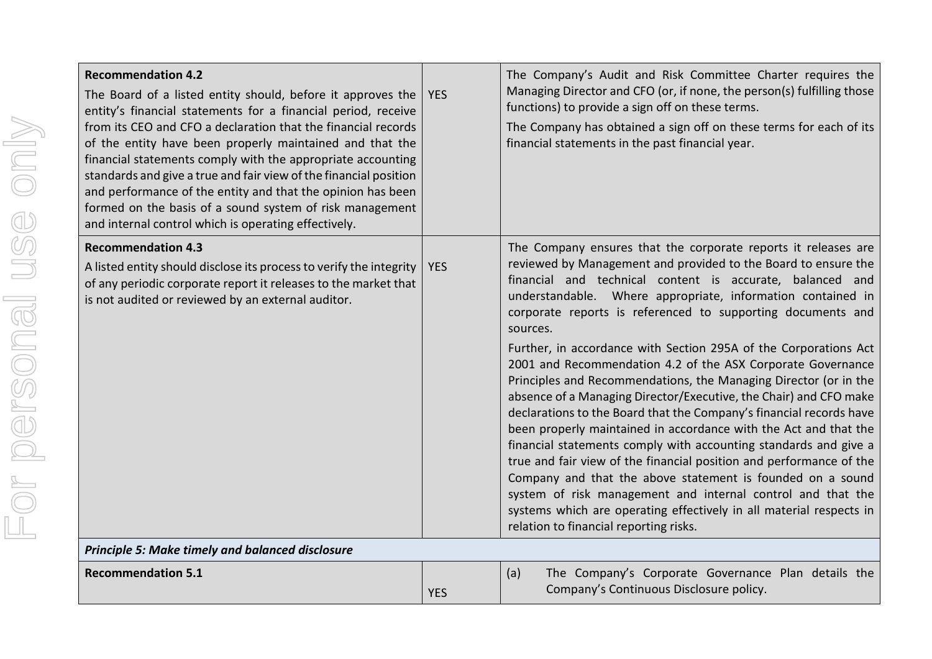| <b>Recommendation 4.2</b>                                                                                                                                |
|----------------------------------------------------------------------------------------------------------------------------------------------------------|
| The Board of a listed entity<br>entity's financial statement<br>from its CEO and CFO a decl<br>of the entity have been pr<br>financial statements comply |
| standards and give a true and<br>and performance of the enti<br>formed on the basis of a so                                                              |
| and internal control which is                                                                                                                            |
| <b>Recommendation 4.3</b>                                                                                                                                |
| A listed entity should disclose<br>of any periodic corporate rep                                                                                         |
| is not audited or reviewed b                                                                                                                             |
|                                                                                                                                                          |
|                                                                                                                                                          |
|                                                                                                                                                          |
|                                                                                                                                                          |
|                                                                                                                                                          |
|                                                                                                                                                          |
|                                                                                                                                                          |
|                                                                                                                                                          |

| The Board of a listed entity should, before it approves the<br>entity's financial statements for a financial period, receive<br>from its CEO and CFO a declaration that the financial records<br>of the entity have been properly maintained and that the<br>financial statements comply with the appropriate accounting<br>standards and give a true and fair view of the financial position<br>and performance of the entity and that the opinion has been<br>formed on the basis of a sound system of risk management<br>and internal control which is operating effectively. | <b>YES</b> | Managing Director and CFO (or, if none, the person(s) fulfilling those<br>functions) to provide a sign off on these terms.<br>The Company has obtained a sign off on these terms for each of its<br>financial statements in the past financial year.                                                                                                                                                                                                                                                                                                                                                                                                                                                                                                                                                                                                                                                                                                                                                                                                                                                                                                    |
|----------------------------------------------------------------------------------------------------------------------------------------------------------------------------------------------------------------------------------------------------------------------------------------------------------------------------------------------------------------------------------------------------------------------------------------------------------------------------------------------------------------------------------------------------------------------------------|------------|---------------------------------------------------------------------------------------------------------------------------------------------------------------------------------------------------------------------------------------------------------------------------------------------------------------------------------------------------------------------------------------------------------------------------------------------------------------------------------------------------------------------------------------------------------------------------------------------------------------------------------------------------------------------------------------------------------------------------------------------------------------------------------------------------------------------------------------------------------------------------------------------------------------------------------------------------------------------------------------------------------------------------------------------------------------------------------------------------------------------------------------------------------|
| <b>Recommendation 4.3</b><br>A listed entity should disclose its process to verify the integrity<br>of any periodic corporate report it releases to the market that<br>is not audited or reviewed by an external auditor.                                                                                                                                                                                                                                                                                                                                                        | <b>YES</b> | The Company ensures that the corporate reports it releases are<br>reviewed by Management and provided to the Board to ensure the<br>financial and technical content is accurate, balanced and<br>understandable. Where appropriate, information contained in<br>corporate reports is referenced to supporting documents and<br>sources.<br>Further, in accordance with Section 295A of the Corporations Act<br>2001 and Recommendation 4.2 of the ASX Corporate Governance<br>Principles and Recommendations, the Managing Director (or in the<br>absence of a Managing Director/Executive, the Chair) and CFO make<br>declarations to the Board that the Company's financial records have<br>been properly maintained in accordance with the Act and that the<br>financial statements comply with accounting standards and give a<br>true and fair view of the financial position and performance of the<br>Company and that the above statement is founded on a sound<br>system of risk management and internal control and that the<br>systems which are operating effectively in all material respects in<br>relation to financial reporting risks. |
| Principle 5: Make timely and balanced disclosure                                                                                                                                                                                                                                                                                                                                                                                                                                                                                                                                 |            |                                                                                                                                                                                                                                                                                                                                                                                                                                                                                                                                                                                                                                                                                                                                                                                                                                                                                                                                                                                                                                                                                                                                                         |
| <b>Recommendation 5.1</b>                                                                                                                                                                                                                                                                                                                                                                                                                                                                                                                                                        | <b>YES</b> | The Company's Corporate Governance Plan details the<br>(a)<br>Company's Continuous Disclosure policy.                                                                                                                                                                                                                                                                                                                                                                                                                                                                                                                                                                                                                                                                                                                                                                                                                                                                                                                                                                                                                                                   |

The Company's Audit and Risk Committee Charter requires the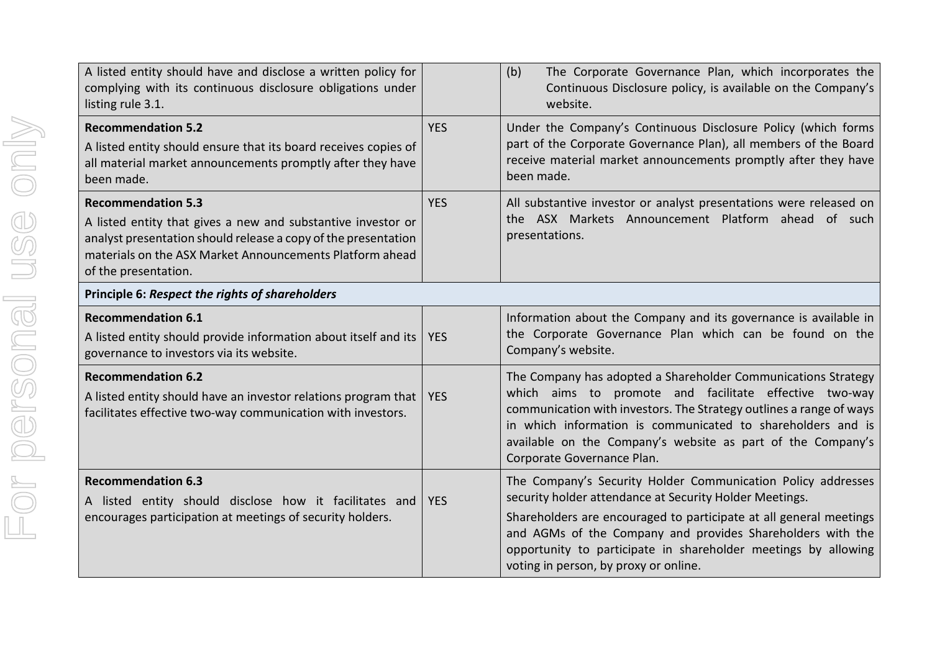| A listed entity should have and disclose a written policy for<br>complying with its continuous disclosure obligations under<br>listing rule 3.1.                                                                                                |            | (b)<br>The Corporate Governance Plan, which incorporates the<br>Continuous Disclosure policy, is available on the Company's<br>website.                                                                                                                                                                                                                                |
|-------------------------------------------------------------------------------------------------------------------------------------------------------------------------------------------------------------------------------------------------|------------|------------------------------------------------------------------------------------------------------------------------------------------------------------------------------------------------------------------------------------------------------------------------------------------------------------------------------------------------------------------------|
| <b>Recommendation 5.2</b><br>A listed entity should ensure that its board receives copies of<br>all material market announcements promptly after they have<br>been made.                                                                        | <b>YES</b> | Under the Company's Continuous Disclosure Policy (which forms<br>part of the Corporate Governance Plan), all members of the Board<br>receive material market announcements promptly after they have<br>been made.                                                                                                                                                      |
| <b>Recommendation 5.3</b><br>A listed entity that gives a new and substantive investor or<br>analyst presentation should release a copy of the presentation<br>materials on the ASX Market Announcements Platform ahead<br>of the presentation. | <b>YES</b> | All substantive investor or analyst presentations were released on<br>the ASX Markets Announcement Platform ahead of such<br>presentations.                                                                                                                                                                                                                            |
| Principle 6: Respect the rights of shareholders                                                                                                                                                                                                 |            |                                                                                                                                                                                                                                                                                                                                                                        |
| <b>Recommendation 6.1</b><br>A listed entity should provide information about itself and its<br>governance to investors via its website.                                                                                                        | <b>YES</b> | Information about the Company and its governance is available in<br>the Corporate Governance Plan which can be found on the<br>Company's website.                                                                                                                                                                                                                      |
| <b>Recommendation 6.2</b><br>A listed entity should have an investor relations program that<br>facilitates effective two-way communication with investors.                                                                                      | <b>YES</b> | The Company has adopted a Shareholder Communications Strategy<br>which aims to promote and facilitate effective two-way<br>communication with investors. The Strategy outlines a range of ways<br>in which information is communicated to shareholders and is<br>available on the Company's website as part of the Company's<br>Corporate Governance Plan.             |
| <b>Recommendation 6.3</b><br>A listed entity should disclose how it facilitates and<br>encourages participation at meetings of security holders.                                                                                                | <b>YES</b> | The Company's Security Holder Communication Policy addresses<br>security holder attendance at Security Holder Meetings.<br>Shareholders are encouraged to participate at all general meetings<br>and AGMs of the Company and provides Shareholders with the<br>opportunity to participate in shareholder meetings by allowing<br>voting in person, by proxy or online. |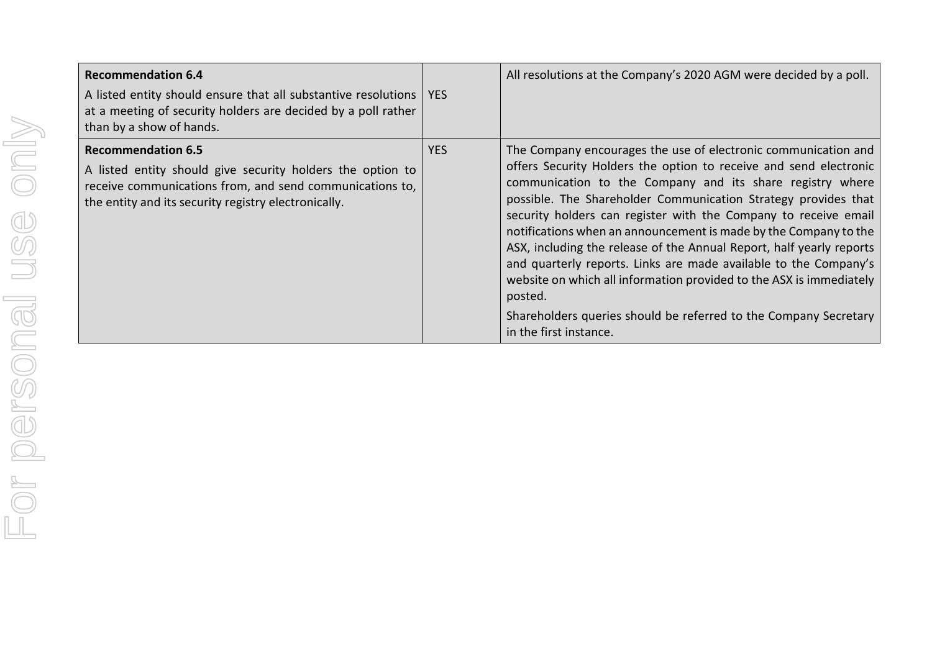| <b>Recommendation 6.4</b><br>A listed entity should ensure that all substantive resolutions<br>at a meeting of security holders are decided by a poll rather<br>than by a show of hands.                    | <b>YES</b> | All resolutions at the Company's 2020 AGM were decided by a poll.                                                                                                                                                                                                                                                                                                                                                                                                                                                                                                                                                                                                                                                                     |
|-------------------------------------------------------------------------------------------------------------------------------------------------------------------------------------------------------------|------------|---------------------------------------------------------------------------------------------------------------------------------------------------------------------------------------------------------------------------------------------------------------------------------------------------------------------------------------------------------------------------------------------------------------------------------------------------------------------------------------------------------------------------------------------------------------------------------------------------------------------------------------------------------------------------------------------------------------------------------------|
| <b>Recommendation 6.5</b><br>A listed entity should give security holders the option to<br>receive communications from, and send communications to,<br>the entity and its security registry electronically. | <b>YES</b> | The Company encourages the use of electronic communication and<br>offers Security Holders the option to receive and send electronic<br>communication to the Company and its share registry where<br>possible. The Shareholder Communication Strategy provides that<br>security holders can register with the Company to receive email<br>notifications when an announcement is made by the Company to the<br>ASX, including the release of the Annual Report, half yearly reports<br>and quarterly reports. Links are made available to the Company's<br>website on which all information provided to the ASX is immediately<br>posted.<br>Shareholders queries should be referred to the Company Secretary<br>in the first instance. |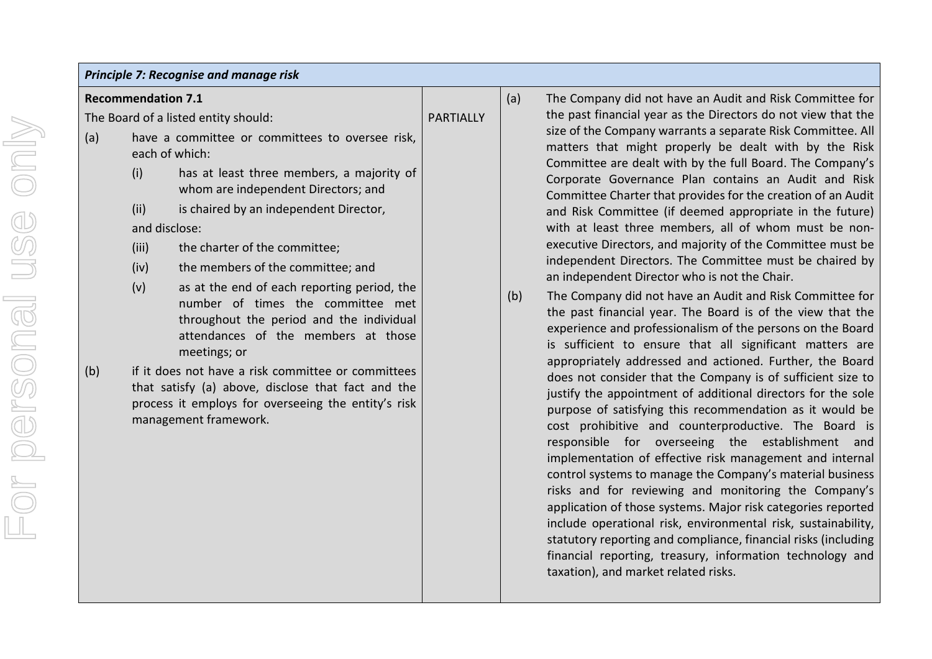|  |  | Principle 7: Recognise and manage risk |  |
|--|--|----------------------------------------|--|
|--|--|----------------------------------------|--|

**Recommendation 7.1** 

The Board of a listed entity should:

- (a) have a committee or committees to oversee risk, each of which:
	- (i) has at least three members, a majority of whom are independent Directors; and
	- (ii) is chaired by an independent Director, and disclose:
	- (iii) the charter of the committee;
	- (iv) the members of the committee; and
	- (v) as at the end of each reporting period, the number of times the committee met throughout the period and the individual attendances of the members at those meetings; or
- (b) if it does not have a risk committee or committees that satisfy (a) above, disclose that fact and the process it employs for overseeing the entity's risk management framework.

(a) The Company did not have an Audit and Risk Committee for the past financial year as the Directors do not view that the size of the Company warrants a separate Risk Committee. All matters that might properly be dealt with by the Risk Committee are dealt with by the full Board. The Company's Corporate Governance Plan contains an Audit and Risk Committee Charter that provides for the creation of an Audit and Risk Committee (if deemed appropriate in the future) with at least three members, all of whom must be nonexecutive Directors, and majority of the Committee must be independent Directors. The Committee must be chaired by an independent Director who is not the Chair.

(b) The Company did not have an Audit and Risk Committee for the past financial year. The Board is of the view that the experience and professionalism of the persons on the Board is sufficient to ensure that all significant matters are appropriately addressed and actioned. Further, the Board does not consider that the Company is of sufficient size to justify the appointment of additional directors for the sole purpose of satisfying this recommendation as it would be cost prohibitive and counterproductive. The Board is responsible for overseeing the establishment and implementation of effective risk management and internal control systems to manage the Company's material business risks and for reviewing and monitoring the Company's application of those systems. Major risk categories reported include operational risk, environmental risk, sustainability, statutory reporting and compliance, financial risks (including financial reporting, treasury, information technology and taxation), and market related risks.

**PARTIALLY**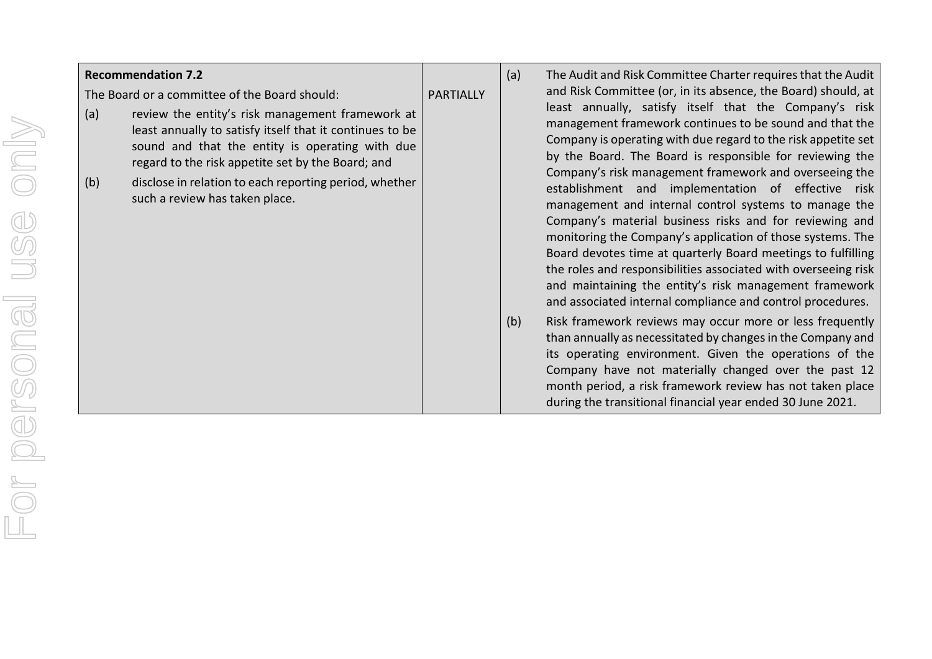|            | <b>Recommendation 7.2</b>                                                                                                                                                                                                                                                                                                                                         |                  | (a) | The Audit and Risk Committee Charter requires that the Audit                                                                                                                                                                                                                                                                                                                                                                                                                                                                                                                                                                                                                                                                                                                                                                                                                                                                                                                                           |
|------------|-------------------------------------------------------------------------------------------------------------------------------------------------------------------------------------------------------------------------------------------------------------------------------------------------------------------------------------------------------------------|------------------|-----|--------------------------------------------------------------------------------------------------------------------------------------------------------------------------------------------------------------------------------------------------------------------------------------------------------------------------------------------------------------------------------------------------------------------------------------------------------------------------------------------------------------------------------------------------------------------------------------------------------------------------------------------------------------------------------------------------------------------------------------------------------------------------------------------------------------------------------------------------------------------------------------------------------------------------------------------------------------------------------------------------------|
| (a)<br>(b) | The Board or a committee of the Board should:<br>review the entity's risk management framework at<br>least annually to satisfy itself that it continues to be<br>sound and that the entity is operating with due<br>regard to the risk appetite set by the Board; and<br>disclose in relation to each reporting period, whether<br>such a review has taken place. | <b>PARTIALLY</b> | (b) | and Risk Committee (or, in its absence, the Board) should, at<br>least annually, satisfy itself that the Company's risk<br>management framework continues to be sound and that the<br>Company is operating with due regard to the risk appetite set<br>by the Board. The Board is responsible for reviewing the<br>Company's risk management framework and overseeing the<br>establishment and implementation of effective risk<br>management and internal control systems to manage the<br>Company's material business risks and for reviewing and<br>monitoring the Company's application of those systems. The<br>Board devotes time at quarterly Board meetings to fulfilling<br>the roles and responsibilities associated with overseeing risk<br>and maintaining the entity's risk management framework<br>and associated internal compliance and control procedures.<br>Risk framework reviews may occur more or less frequently<br>than annually as necessitated by changes in the Company and |
|            |                                                                                                                                                                                                                                                                                                                                                                   |                  |     | its operating environment. Given the operations of the<br>Company have not materially changed over the past 12<br>month period, a risk framework review has not taken place<br>during the transitional financial year ended 30 June 2021.                                                                                                                                                                                                                                                                                                                                                                                                                                                                                                                                                                                                                                                                                                                                                              |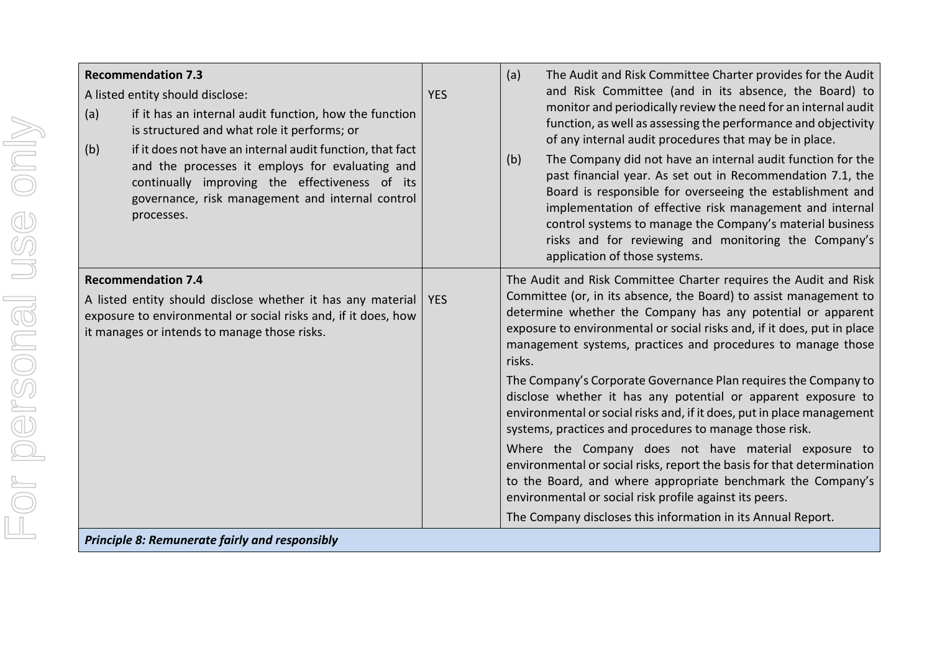| <b>Recommendation 7.3</b><br>A listed entity should disclose:<br>if it has an internal audit function, how the function<br>(a)<br>is structured and what role it performs; or<br>if it does not have an internal audit function, that fact<br>(b)<br>and the processes it employs for evaluating and<br>continually improving the effectiveness of its<br>governance, risk management and internal control<br>processes. | <b>YES</b> | The Audit and Risk Committee Charter provides for the Audit<br>(a)<br>and Risk Committee (and in its absence, the Board) to<br>monitor and periodically review the need for an internal audit<br>function, as well as assessing the performance and objectivity<br>of any internal audit procedures that may be in place.<br>The Company did not have an internal audit function for the<br>(b)<br>past financial year. As set out in Recommendation 7.1, the<br>Board is responsible for overseeing the establishment and<br>implementation of effective risk management and internal<br>control systems to manage the Company's material business<br>risks and for reviewing and monitoring the Company's<br>application of those systems.                                                                                                                                                                                                                   |
|--------------------------------------------------------------------------------------------------------------------------------------------------------------------------------------------------------------------------------------------------------------------------------------------------------------------------------------------------------------------------------------------------------------------------|------------|----------------------------------------------------------------------------------------------------------------------------------------------------------------------------------------------------------------------------------------------------------------------------------------------------------------------------------------------------------------------------------------------------------------------------------------------------------------------------------------------------------------------------------------------------------------------------------------------------------------------------------------------------------------------------------------------------------------------------------------------------------------------------------------------------------------------------------------------------------------------------------------------------------------------------------------------------------------|
| <b>Recommendation 7.4</b><br>A listed entity should disclose whether it has any material<br>exposure to environmental or social risks and, if it does, how<br>it manages or intends to manage those risks.                                                                                                                                                                                                               | <b>YES</b> | The Audit and Risk Committee Charter requires the Audit and Risk<br>Committee (or, in its absence, the Board) to assist management to<br>determine whether the Company has any potential or apparent<br>exposure to environmental or social risks and, if it does, put in place<br>management systems, practices and procedures to manage those<br>risks.<br>The Company's Corporate Governance Plan requires the Company to<br>disclose whether it has any potential or apparent exposure to<br>environmental or social risks and, if it does, put in place management<br>systems, practices and procedures to manage those risk.<br>Where the Company does not have material exposure to<br>environmental or social risks, report the basis for that determination<br>to the Board, and where appropriate benchmark the Company's<br>environmental or social risk profile against its peers.<br>The Company discloses this information in its Annual Report. |

*Principle 8: Remunerate fairly and responsibly*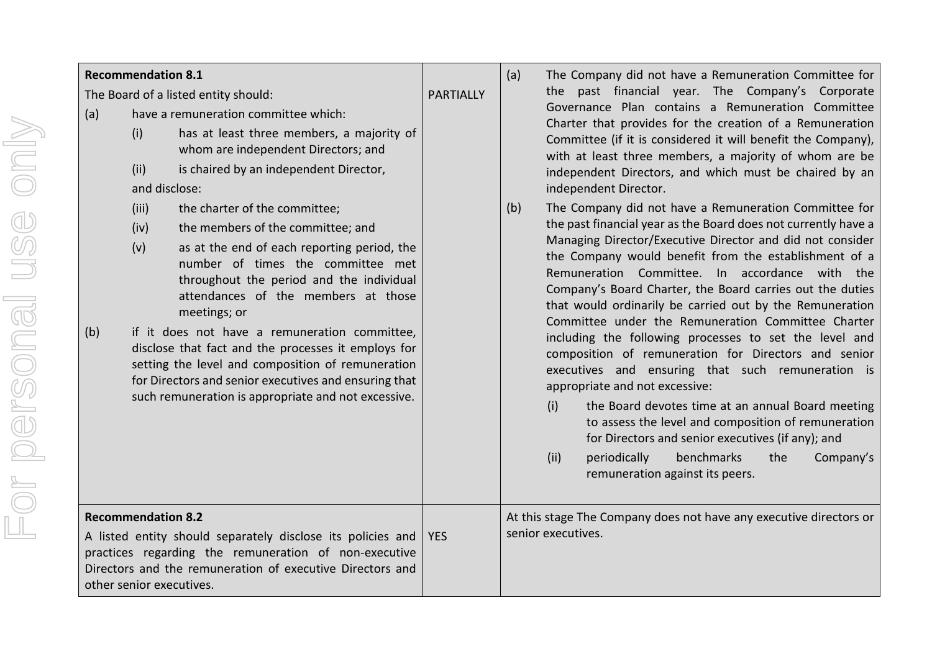|            | <b>Recommendation 8.1</b>                             |                                                                                                                                                                                                                                                                                                                                                                                                                                                                                                                                                                                                                                                                                                                                                                       |                  | (a) | The Company did not have a Remuneration Committee for                                                                                                                                                                                                                                                                                                                                                                                                                                                                                                                                                                                                                                                                                                                                                                                                                                                                                                                                                                                                                                                                                                                                        |
|------------|-------------------------------------------------------|-----------------------------------------------------------------------------------------------------------------------------------------------------------------------------------------------------------------------------------------------------------------------------------------------------------------------------------------------------------------------------------------------------------------------------------------------------------------------------------------------------------------------------------------------------------------------------------------------------------------------------------------------------------------------------------------------------------------------------------------------------------------------|------------------|-----|----------------------------------------------------------------------------------------------------------------------------------------------------------------------------------------------------------------------------------------------------------------------------------------------------------------------------------------------------------------------------------------------------------------------------------------------------------------------------------------------------------------------------------------------------------------------------------------------------------------------------------------------------------------------------------------------------------------------------------------------------------------------------------------------------------------------------------------------------------------------------------------------------------------------------------------------------------------------------------------------------------------------------------------------------------------------------------------------------------------------------------------------------------------------------------------------|
| (a)<br>(b) | (i)<br>(ii)<br>(iii)<br>(iv)<br>(v)                   | The Board of a listed entity should:<br>have a remuneration committee which:<br>has at least three members, a majority of<br>whom are independent Directors; and<br>is chaired by an independent Director,<br>and disclose:<br>the charter of the committee;<br>the members of the committee; and<br>as at the end of each reporting period, the<br>number of times the committee met<br>throughout the period and the individual<br>attendances of the members at those<br>meetings; or<br>if it does not have a remuneration committee,<br>disclose that fact and the processes it employs for<br>setting the level and composition of remuneration<br>for Directors and senior executives and ensuring that<br>such remuneration is appropriate and not excessive. | <b>PARTIALLY</b> | (b) | the past financial year. The Company's Corporate<br>Governance Plan contains a Remuneration Committee<br>Charter that provides for the creation of a Remuneration<br>Committee (if it is considered it will benefit the Company),<br>with at least three members, a majority of whom are be<br>independent Directors, and which must be chaired by an<br>independent Director.<br>The Company did not have a Remuneration Committee for<br>the past financial year as the Board does not currently have a<br>Managing Director/Executive Director and did not consider<br>the Company would benefit from the establishment of a<br>Remuneration Committee. In accordance with the<br>Company's Board Charter, the Board carries out the duties<br>that would ordinarily be carried out by the Remuneration<br>Committee under the Remuneration Committee Charter<br>including the following processes to set the level and<br>composition of remuneration for Directors and senior<br>executives and ensuring that such remuneration is<br>appropriate and not excessive:<br>(i)<br>the Board devotes time at an annual Board meeting<br>to assess the level and composition of remuneration |
|            |                                                       |                                                                                                                                                                                                                                                                                                                                                                                                                                                                                                                                                                                                                                                                                                                                                                       |                  |     | for Directors and senior executives (if any); and<br>(ii)<br>benchmarks<br>the<br>periodically<br>Company's<br>remuneration against its peers.                                                                                                                                                                                                                                                                                                                                                                                                                                                                                                                                                                                                                                                                                                                                                                                                                                                                                                                                                                                                                                               |
|            | <b>Recommendation 8.2</b><br>other senior executives. | A listed entity should separately disclose its policies and<br>practices regarding the remuneration of non-executive<br>Directors and the remuneration of executive Directors and                                                                                                                                                                                                                                                                                                                                                                                                                                                                                                                                                                                     | <b>YES</b>       |     | At this stage The Company does not have any executive directors or<br>senior executives.                                                                                                                                                                                                                                                                                                                                                                                                                                                                                                                                                                                                                                                                                                                                                                                                                                                                                                                                                                                                                                                                                                     |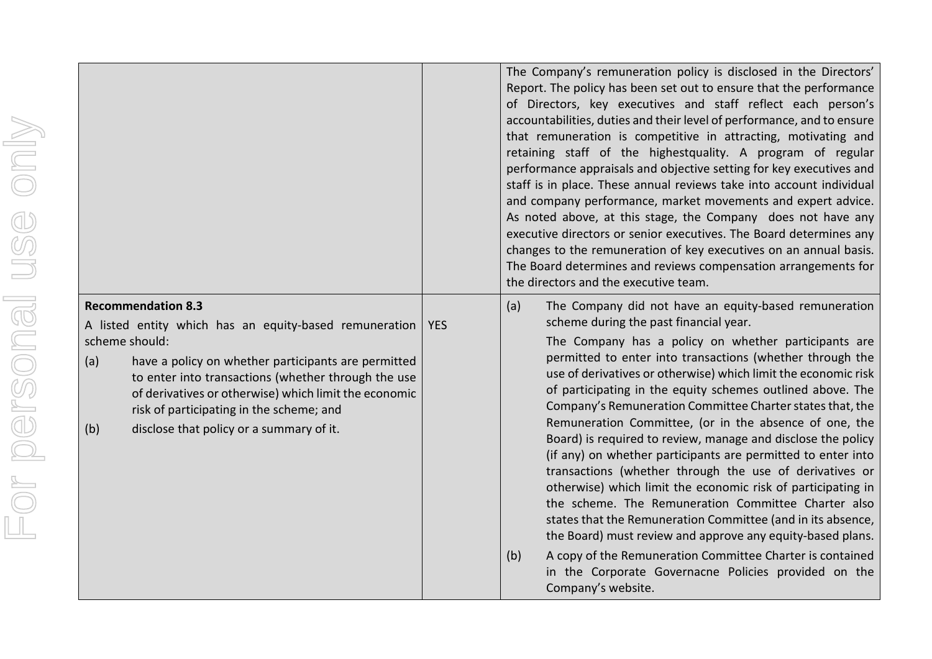|                      |                                                                                                                                                                                                                                                                                             |            | The Company's remuneration policy is disclosed in the Directors'<br>Report. The policy has been set out to ensure that the performance<br>of Directors, key executives and staff reflect each person's<br>accountabilities, duties and their level of performance, and to ensure<br>that remuneration is competitive in attracting, motivating and<br>retaining staff of the highestquality. A program of regular<br>performance appraisals and objective setting for key executives and<br>staff is in place. These annual reviews take into account individual<br>and company performance, market movements and expert advice.<br>As noted above, at this stage, the Company does not have any<br>executive directors or senior executives. The Board determines any<br>changes to the remuneration of key executives on an annual basis.<br>The Board determines and reviews compensation arrangements for<br>the directors and the executive team. |
|----------------------|---------------------------------------------------------------------------------------------------------------------------------------------------------------------------------------------------------------------------------------------------------------------------------------------|------------|--------------------------------------------------------------------------------------------------------------------------------------------------------------------------------------------------------------------------------------------------------------------------------------------------------------------------------------------------------------------------------------------------------------------------------------------------------------------------------------------------------------------------------------------------------------------------------------------------------------------------------------------------------------------------------------------------------------------------------------------------------------------------------------------------------------------------------------------------------------------------------------------------------------------------------------------------------|
|                      | <b>Recommendation 8.3</b><br>A listed entity which has an equity-based remuneration                                                                                                                                                                                                         | <b>YES</b> | The Company did not have an equity-based remuneration<br>(a)<br>scheme during the past financial year.                                                                                                                                                                                                                                                                                                                                                                                                                                                                                                                                                                                                                                                                                                                                                                                                                                                 |
| or personal use only | scheme should:<br>have a policy on whether participants are permitted<br>(a)<br>to enter into transactions (whether through the use<br>of derivatives or otherwise) which limit the economic<br>risk of participating in the scheme; and<br>disclose that policy or a summary of it.<br>(b) |            | The Company has a policy on whether participants are<br>permitted to enter into transactions (whether through the<br>use of derivatives or otherwise) which limit the economic risk<br>of participating in the equity schemes outlined above. The<br>Company's Remuneration Committee Charter states that, the<br>Remuneration Committee, (or in the absence of one, the<br>Board) is required to review, manage and disclose the policy<br>(if any) on whether participants are permitted to enter into<br>transactions (whether through the use of derivatives or<br>otherwise) which limit the economic risk of participating in<br>the scheme. The Remuneration Committee Charter also<br>states that the Remuneration Committee (and in its absence,<br>the Board) must review and approve any equity-based plans.                                                                                                                                |
|                      |                                                                                                                                                                                                                                                                                             |            | A copy of the Remuneration Committee Charter is contained<br>(b)<br>in the Corporate Governacne Policies provided on the<br>Company's website.                                                                                                                                                                                                                                                                                                                                                                                                                                                                                                                                                                                                                                                                                                                                                                                                         |